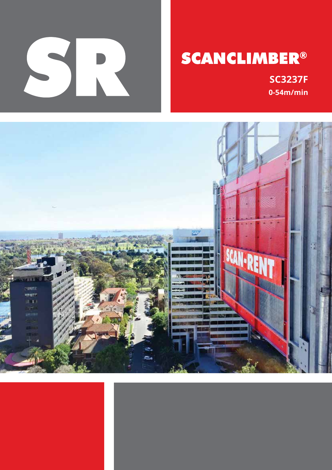

# **SCANCLIMBER®**

**SC3237F 0-54m/min**

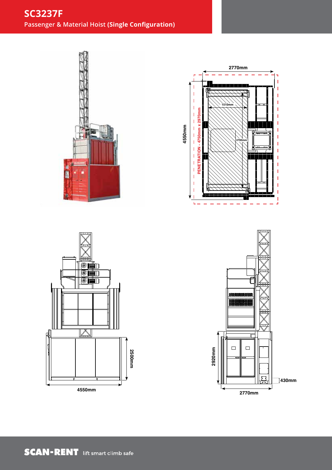# **SC3237F Passenger & Material Hoist (Single Configuration)**









SRA-SC3237/1 Rev 01 SC3237 Single Configuration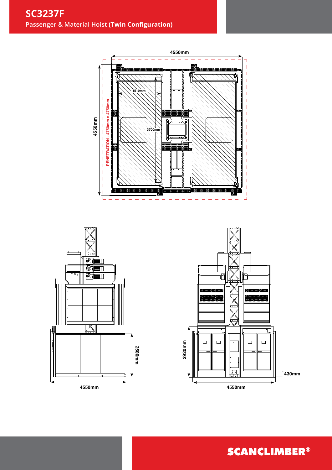





**SCANCLIMBER®**